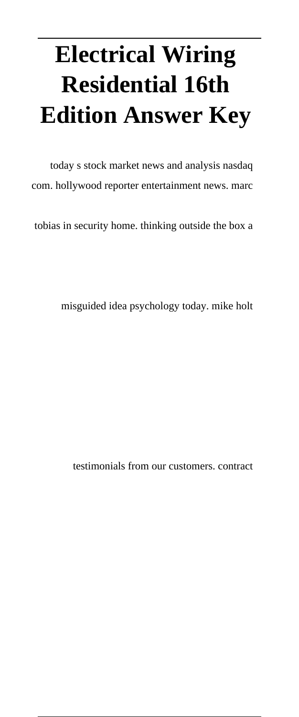# **Electrical Wiring Residential 16th Edition Answer Key**

today s stock market news and analysis nasdaq com. hollywood reporter entertainment news. marc

tobias in security home. thinking outside the box a

misguided idea psychology today. mike holt

testimonials from our customers. contract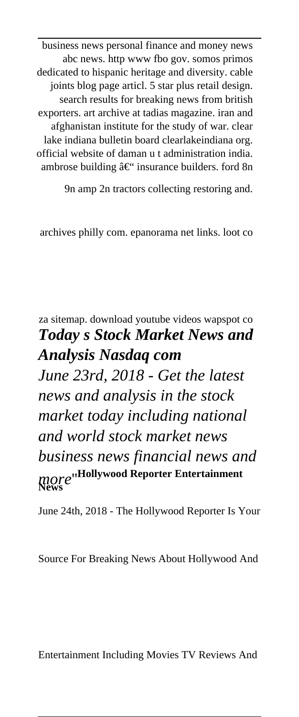business news personal finance and money news abc news. http www fbo gov. somos primos dedicated to hispanic heritage and diversity. cable joints blog page articl. 5 star plus retail design. search results for breaking news from british exporters. art archive at tadias magazine. iran and afghanistan institute for the study of war. clear lake indiana bulletin board clearlakeindiana org. official website of daman u t administration india. ambrose building  $\hat{a} \in \hat{ }$  insurance builders. ford 8n

9n amp 2n tractors collecting restoring and.

archives philly com. epanorama net links. loot co

za sitemap. download youtube videos wapspot co *Today s Stock Market News and Analysis Nasdaq com June 23rd, 2018 - Get the latest news and analysis in the stock market today including national and world stock market news business news financial news and more*''**Hollywood Reporter Entertainment News**

June 24th, 2018 - The Hollywood Reporter Is Your

Source For Breaking News About Hollywood And

Entertainment Including Movies TV Reviews And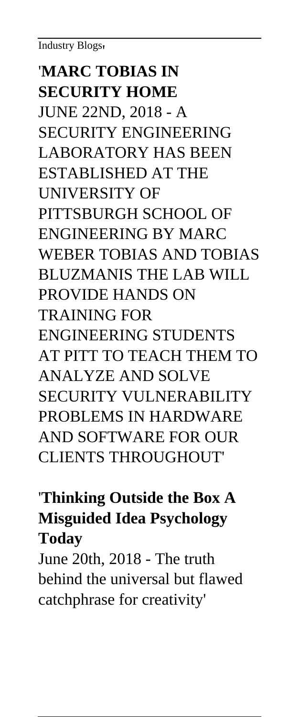Industry Blogs'

## '**MARC TOBIAS IN SECURITY HOME**

JUNE 22ND, 2018 - A SECURITY ENGINEERING LABORATORY HAS BEEN ESTABLISHED AT THE UNIVERSITY OF PITTSBURGH SCHOOL OF ENGINEERING BY MARC WEBER TOBIAS AND TOBIAS BLUZMANIS THE LAB WILL PROVIDE HANDS ON TRAINING FOR ENGINEERING STUDENTS AT PITT TO TEACH THEM TO ANALYZE AND SOLVE SECURITY VULNERABILITY PROBLEMS IN HARDWARE AND SOFTWARE FOR OUR CLIENTS THROUGHOUT'

## '**Thinking Outside the Box A Misguided Idea Psychology Today**

June 20th, 2018 - The truth behind the universal but flawed catchphrase for creativity'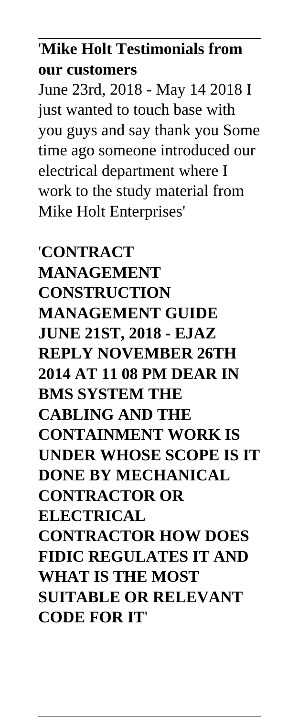## '**Mike Holt Testimonials from our customers**

June 23rd, 2018 - May 14 2018 I just wanted to touch base with you guys and say thank you Some time ago someone introduced our electrical department where I work to the study material from Mike Holt Enterprises'

'**CONTRACT MANAGEMENT CONSTRUCTION MANAGEMENT GUIDE JUNE 21ST, 2018 - EJAZ REPLY NOVEMBER 26TH 2014 AT 11 08 PM DEAR IN BMS SYSTEM THE CABLING AND THE CONTAINMENT WORK IS UNDER WHOSE SCOPE IS IT DONE BY MECHANICAL CONTRACTOR OR ELECTRICAL CONTRACTOR HOW DOES FIDIC REGULATES IT AND WHAT IS THE MOST SUITABLE OR RELEVANT CODE FOR IT**'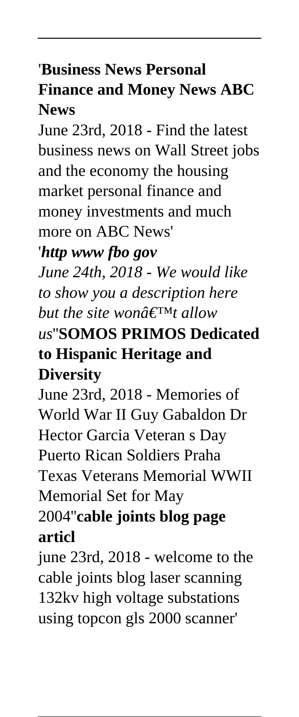# '**Business News Personal Finance and Money News ABC News**

June 23rd, 2018 - Find the latest business news on Wall Street jobs and the economy the housing market personal finance and money investments and much more on ABC News'

'*http www fbo gov*

*June 24th, 2018 - We would like to show you a description here but the site wond* $\notin$ <sup>TMt</sup> allow *us*''**SOMOS PRIMOS Dedicated to Hispanic Heritage and Diversity**

June 23rd, 2018 - Memories of World War II Guy Gabaldon Dr Hector Garcia Veteran s Day Puerto Rican Soldiers Praha Texas Veterans Memorial WWII Memorial Set for May

## 2004''**cable joints blog page articl**

june 23rd, 2018 - welcome to the cable joints blog laser scanning 132kv high voltage substations using topcon gls 2000 scanner'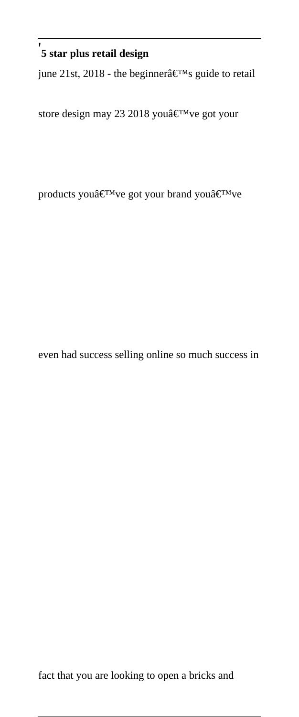#### '**5 star plus retail design**

june 21st, 2018 - the beginner $\hat{\mathbf{a}} \in \mathbb{M}$ s guide to retail

store design may 23 2018 you've got your

products you $\hat{a} \in T^{M}$ ve got your brand you $\hat{a} \in T^{M}$ ve

even had success selling online so much success in

fact that you are looking to open a bricks and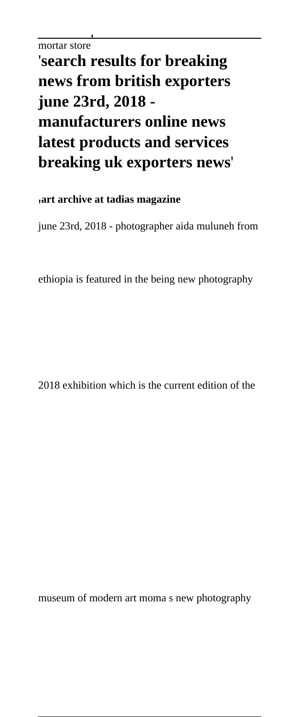## '**search results for breaking news from british exporters june 23rd, 2018 manufacturers online news latest products and services breaking uk exporters news**'

'**art archive at tadias magazine**

june 23rd, 2018 - photographer aida muluneh from

ethiopia is featured in the being new photography

2018 exhibition which is the current edition of the

museum of modern art moma s new photography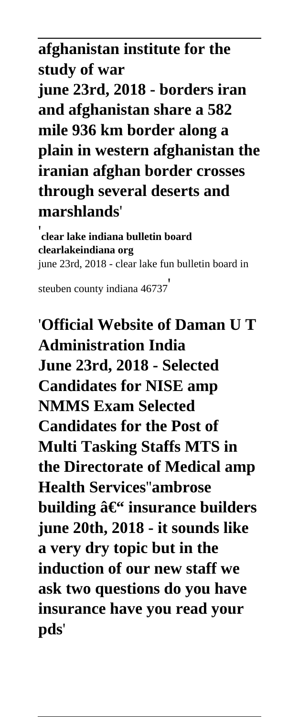### **afghanistan institute for the study of war**

**june 23rd, 2018 - borders iran and afghanistan share a 582 mile 936 km border along a plain in western afghanistan the iranian afghan border crosses through several deserts and marshlands**'

'**clear lake indiana bulletin board clearlakeindiana org** june 23rd, 2018 - clear lake fun bulletin board in

steuben county indiana 46737'

'**Official Website of Daman U T Administration India June 23rd, 2018 - Selected Candidates for NISE amp NMMS Exam Selected Candidates for the Post of Multi Tasking Staffs MTS in the Directorate of Medical amp Health Services**''**ambrose building – insurance builders june 20th, 2018 - it sounds like a very dry topic but in the induction of our new staff we ask two questions do you have insurance have you read your pds**'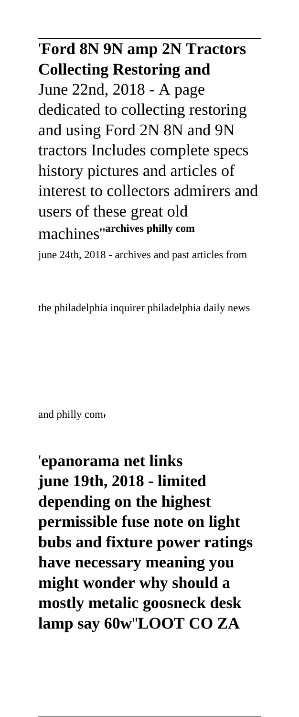# '**Ford 8N 9N amp 2N Tractors Collecting Restoring and** June 22nd, 2018 - A page dedicated to collecting restoring and using Ford 2N 8N and 9N tractors Includes complete specs history pictures and articles of interest to collectors admirers and users of these great old machines''**archives philly com**

june 24th, 2018 - archives and past articles from

the philadelphia inquirer philadelphia daily news

and philly com'

'**epanorama net links june 19th, 2018 - limited depending on the highest permissible fuse note on light bubs and fixture power ratings have necessary meaning you might wonder why should a mostly metalic goosneck desk lamp say 60w**''**LOOT CO ZA**